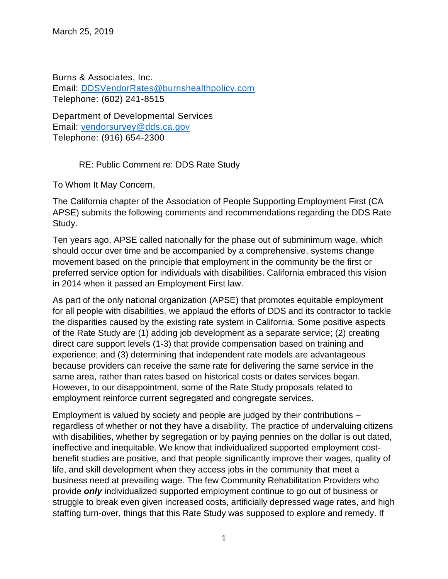Burns & Associates, Inc. Email: [DDSVendorRates@burnshealthpolicy.com](mailto:DDSVendorRates@burnshealthpolicy.com) Telephone: (602) 241-8515

Department of Developmental Services Email: [vendorsurvey@dds.ca.gov](mailto:vendorsurvey@dds.ca.gov) Telephone: (916) 654-2300

## RE: Public Comment re: DDS Rate Study

To Whom It May Concern,

The California chapter of the Association of People Supporting Employment First (CA APSE) submits the following comments and recommendations regarding the DDS Rate Study.

Ten years ago, APSE called nationally for the phase out of subminimum wage, which should occur over time and be accompanied by a comprehensive, systems change movement based on the principle that employment in the community be the first or preferred service option for individuals with disabilities. California embraced this vision in 2014 when it passed an Employment First law.

As part of the only national organization (APSE) that promotes equitable employment for all people with disabilities, we applaud the efforts of DDS and its contractor to tackle the disparities caused by the existing rate system in California. Some positive aspects of the Rate Study are (1) adding job development as a separate service; (2) creating direct care support levels (1-3) that provide compensation based on training and experience; and (3) determining that independent rate models are advantageous because providers can receive the same rate for delivering the same service in the same area, rather than rates based on historical costs or dates services began. However, to our disappointment, some of the Rate Study proposals related to employment reinforce current segregated and congregate services.

Employment is valued by society and people are judged by their contributions – regardless of whether or not they have a disability. The practice of undervaluing citizens with disabilities, whether by segregation or by paying pennies on the dollar is out dated, ineffective and inequitable. We know that individualized supported employment costbenefit studies are positive, and that people significantly improve their wages, quality of life, and skill development when they access jobs in the community that meet a business need at prevailing wage. The few Community Rehabilitation Providers who provide *only* individualized supported employment continue to go out of business or struggle to break even given increased costs, artificially depressed wage rates, and high staffing turn-over, things that this Rate Study was supposed to explore and remedy. If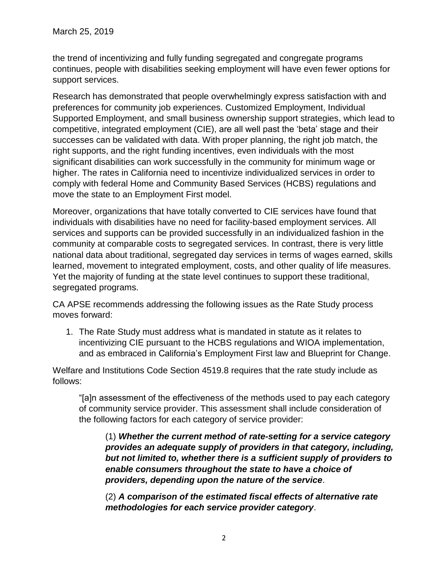the trend of incentivizing and fully funding segregated and congregate programs continues, people with disabilities seeking employment will have even fewer options for support services.

Research has demonstrated that people overwhelmingly express satisfaction with and preferences for community job experiences. Customized Employment, Individual Supported Employment, and small business ownership support strategies, which lead to competitive, integrated employment (CIE), are all well past the 'beta' stage and their successes can be validated with data. With proper planning, the right job match, the right supports, and the right funding incentives, even individuals with the most significant disabilities can work successfully in the community for minimum wage or higher. The rates in California need to incentivize individualized services in order to comply with federal Home and Community Based Services (HCBS) regulations and move the state to an Employment First model.

Moreover, organizations that have totally converted to CIE services have found that individuals with disabilities have no need for facility-based employment services. All services and supports can be provided successfully in an individualized fashion in the community at comparable costs to segregated services. In contrast, there is very little national data about traditional, segregated day services in terms of wages earned, skills learned, movement to integrated employment, costs, and other quality of life measures. Yet the majority of funding at the state level continues to support these traditional, segregated programs.

CA APSE recommends addressing the following issues as the Rate Study process moves forward:

1. The Rate Study must address what is mandated in statute as it relates to incentivizing CIE pursuant to the HCBS regulations and WIOA implementation, and as embraced in California's Employment First law and Blueprint for Change.

Welfare and Institutions Code Section 4519.8 requires that the rate study include as follows:

"[a]n assessment of the effectiveness of the methods used to pay each category of community service provider. This assessment shall include consideration of the following factors for each category of service provider:

(1) *Whether the current method of rate-setting for a service category provides an adequate supply of providers in that category, including, but not limited to, whether there is a sufficient supply of providers to enable consumers throughout the state to have a choice of providers, depending upon the nature of the service*.

(2) *A comparison of the estimated fiscal effects of alternative rate methodologies for each service provider category*.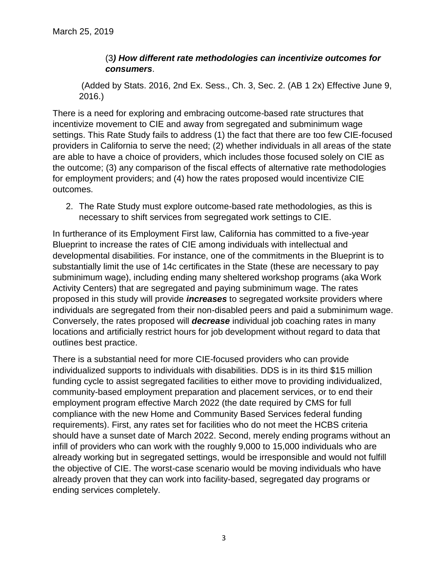## (3*) How different rate methodologies can incentivize outcomes for consumers*.

(Added by Stats. 2016, 2nd Ex. Sess., Ch. 3, Sec. 2. (AB 1 2x) Effective June 9, 2016.)

There is a need for exploring and embracing outcome-based rate structures that incentivize movement to CIE and away from segregated and subminimum wage settings. This Rate Study fails to address (1) the fact that there are too few CIE-focused providers in California to serve the need; (2) whether individuals in all areas of the state are able to have a choice of providers, which includes those focused solely on CIE as the outcome; (3) any comparison of the fiscal effects of alternative rate methodologies for employment providers; and (4) how the rates proposed would incentivize CIE outcomes.

2. The Rate Study must explore outcome-based rate methodologies, as this is necessary to shift services from segregated work settings to CIE.

In furtherance of its Employment First law, California has committed to a five-year Blueprint to increase the rates of CIE among individuals with intellectual and developmental disabilities. For instance, one of the commitments in the Blueprint is to substantially limit the use of 14c certificates in the State (these are necessary to pay subminimum wage), including ending many sheltered workshop programs (aka Work Activity Centers) that are segregated and paying subminimum wage. The rates proposed in this study will provide *increases* to segregated worksite providers where individuals are segregated from their non-disabled peers and paid a subminimum wage. Conversely, the rates proposed will *decrease* individual job coaching rates in many locations and artificially restrict hours for job development without regard to data that outlines best practice.

There is a substantial need for more CIE-focused providers who can provide individualized supports to individuals with disabilities. DDS is in its third \$15 million funding cycle to assist segregated facilities to either move to providing individualized, community-based employment preparation and placement services, or to end their employment program effective March 2022 (the date required by CMS for full compliance with the new Home and Community Based Services federal funding requirements). First, any rates set for facilities who do not meet the HCBS criteria should have a sunset date of March 2022. Second, merely ending programs without an infill of providers who can work with the roughly 9,000 to 15,000 individuals who are already working but in segregated settings, would be irresponsible and would not fulfill the objective of CIE. The worst-case scenario would be moving individuals who have already proven that they can work into facility-based, segregated day programs or ending services completely.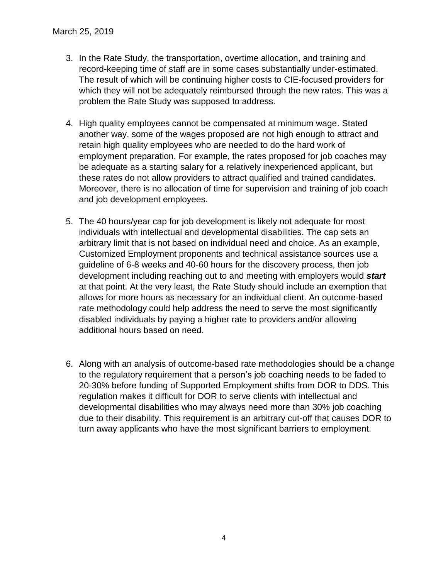- 3. In the Rate Study, the transportation, overtime allocation, and training and record-keeping time of staff are in some cases substantially under-estimated. The result of which will be continuing higher costs to CIE-focused providers for which they will not be adequately reimbursed through the new rates. This was a problem the Rate Study was supposed to address.
- 4. High quality employees cannot be compensated at minimum wage. Stated another way, some of the wages proposed are not high enough to attract and retain high quality employees who are needed to do the hard work of employment preparation. For example, the rates proposed for job coaches may be adequate as a starting salary for a relatively inexperienced applicant, but these rates do not allow providers to attract qualified and trained candidates. Moreover, there is no allocation of time for supervision and training of job coach and job development employees.
- 5. The 40 hours/year cap for job development is likely not adequate for most individuals with intellectual and developmental disabilities. The cap sets an arbitrary limit that is not based on individual need and choice. As an example, Customized Employment proponents and technical assistance sources use a guideline of 6-8 weeks and 40-60 hours for the discovery process, then job development including reaching out to and meeting with employers would *start* at that point. At the very least, the Rate Study should include an exemption that allows for more hours as necessary for an individual client. An outcome-based rate methodology could help address the need to serve the most significantly disabled individuals by paying a higher rate to providers and/or allowing additional hours based on need.
- 6. Along with an analysis of outcome-based rate methodologies should be a change to the regulatory requirement that a person's job coaching needs to be faded to 20-30% before funding of Supported Employment shifts from DOR to DDS. This regulation makes it difficult for DOR to serve clients with intellectual and developmental disabilities who may always need more than 30% job coaching due to their disability. This requirement is an arbitrary cut-off that causes DOR to turn away applicants who have the most significant barriers to employment.